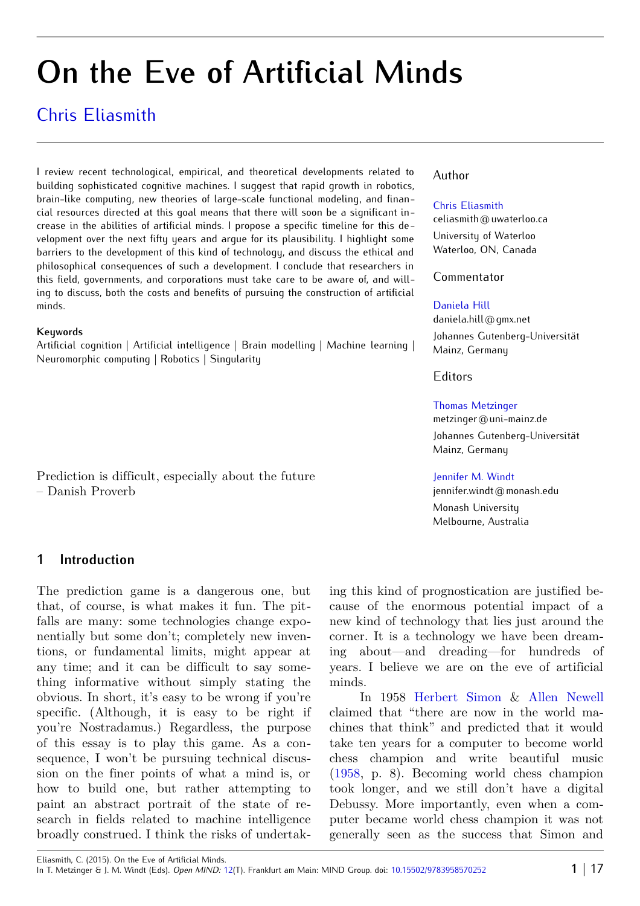# **On the Eve of Artificial Minds**

# [Chris Eliasmith](http://www.open-mind.net/showAuthor?author=Chris_Eliasmith)

I review recent technological, empirical, and theoretical developments related to building sophisticated cognitive machines. I suggest that rapid growth in robotics, brain-like computing, new theories of large-scale functional modeling, and financial resources directed at this goal means that there will soon be a significant increase in the abilities of artificial minds. I propose a specific timeline for this development over the next fifty years and argue for its plausibility. I highlight some barriers to the development of this kind of technology, and discuss the ethical and philosophical consequences of such a development. I conclude that researchers in this field, governments, and corporations must take care to be aware of, and willing to discuss, both the costs and benefits of pursuing the construction of artificial minds.

#### **Keywords**

Artificial cognition | Artificial intelligence | Brain modelling | Machine learning | Neuromorphic computing | Robotics | Singularity

Prediction is difficult, especially about the future – Danish Proverb

# **1 Introduction**

The prediction game is a dangerous one, but that, of course, is what makes it fun. The pitfalls are many: some technologies change exponentially but some don't; completely new inventions, or fundamental limits, might appear at any time; and it can be difficult to say something informative without simply stating the obvious. In short, it's easy to be wrong if you're specific. (Although, it is easy to be right if you're Nostradamus.) Regardless, the purpose of this essay is to play this game. As a consequence, I won't be pursuing technical discussion on the finer points of what a mind is, or how to build one, but rather attempting to paint an abstract portrait of the state of research in fields related to machine intelligence broadly construed. I think the risks of undertak-

#### Author

#### [Chris Eliasmith](http://www.open-mind.net/showAuthor?author=Chris_Eliasmith)

celiasmith@uwaterloo.ca     University of Waterloo Waterloo, ON, Canada

#### Commentator

#### [Daniela Hill](http://www.open-mind.net/showAuthor?author=Daniela_Hill)

daniela.hill@gmx.net     Johannes Gutenberg-Universität Mainz, Germany

#### **Editors**

#### [Thomas Metzinger](http://www.open-mind.net/showAuthor?author=Thomas_Metzinger)

metzinger@uni-mainz.de     Johannes Gutenberg-Universität Mainz, Germany

#### [Jennifer M. Windt](http://www.open-mind.net/showAuthor?author=JenniferM_Windt)

jennifer.windt@monash.edu     Monash University Melbourne, Australia

ing this kind of prognostication are justified because of the enormous potential impact of a new kind of technology that lies just around the corner. It is a technology we have been dreaming about—and dreading—for hundreds of years. I believe we are on the eve of artificial minds.

In 1958 [Herbert](#page-15-0) [Simon](#page-15-0) & [Allen](#page-15-0) [Newell](#page-15-0) claimed that "there are now in the world machines that think" and predicted that it would take ten years for a computer to become world chess champion and write beautiful music [\(1958,](#page-15-0) p. 8). Becoming world chess champion took longer, and we still don't have a digital Debussy. More importantly, even when a computer became world chess champion it was not generally seen as the success that Simon and

Eliasmith, C. (2015). On the Eve of Artificial Minds. In T. Metzinger & J. M. Windt (Eds). *Open MIND:* [12\(](http://www.open-mind.net/papers/@@chapters?nr=12)T). Frankfurt am Main: MIND Group. doi: [10.15502/9783958570252](http://dx.doi.org/10.15502/9783958570252) **1** | 17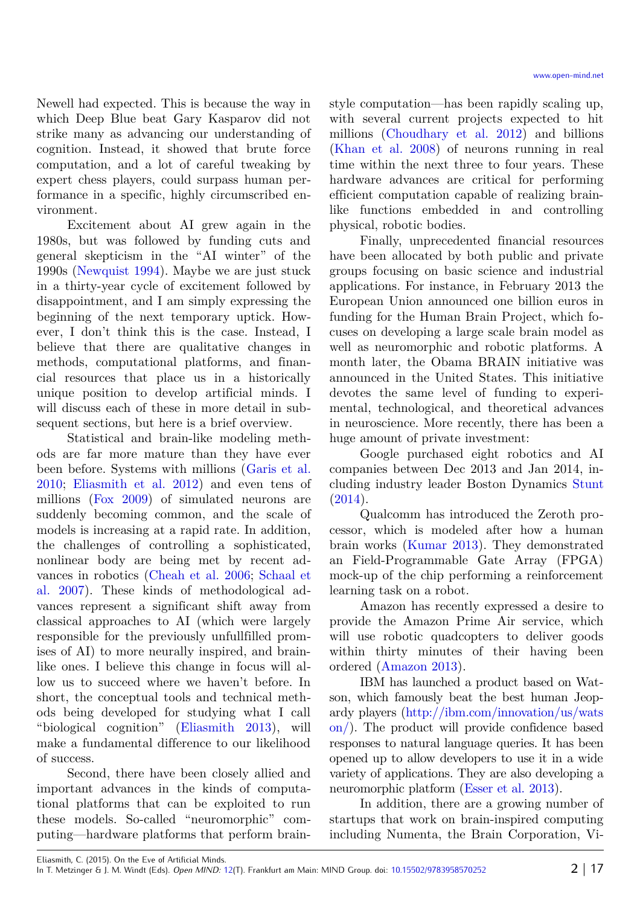Newell had expected. This is because the way in which Deep Blue beat Gary Kasparov did not strike many as advancing our understanding of cognition. Instead, it showed that brute force computation, and a lot of careful tweaking by expert chess players, could surpass human performance in a specific, highly circumscribed environment.

Excitement about AI grew again in the 1980s, but was followed by funding cuts and general skepticism in the "AI winter" of the 1990s [\(Newquist](#page-15-1) [1994\)](#page-15-1). Maybe we are just stuck in a thirty-year cycle of excitement followed by disappointment, and I am simply expressing the beginning of the next temporary uptick. However, I don't think this is the case. Instead, I believe that there are qualitative changes in methods, computational platforms, and financial resources that place us in a historically unique position to develop artificial minds. I will discuss each of these in more detail in subsequent sections, but here is a brief overview.

Statistical and brain-like modeling methods are far more mature than they have ever been before. Systems with millions [\(Garis et al.](#page-14-4) [2010;](#page-14-4) [Eliasmith et al.](#page-14-3) [2012\)](#page-14-3) and even tens of millions [\(Fox](#page-14-2) [2009\)](#page-14-2) of simulated neurons are suddenly becoming common, and the scale of models is increasing at a rapid rate. In addition, the challenges of controlling a sophisticated, nonlinear body are being met by recent advances in robotics [\(Cheah et al.](#page-14-1) [2006;](#page-14-1) [Schaal et](#page-15-2) [al.](#page-15-2) [2007\)](#page-15-2). These kinds of methodological advances represent a significant shift away from classical approaches to AI (which were largely responsible for the previously unfullfilled promises of AI) to more neurally inspired, and brainlike ones. I believe this change in focus will allow us to succeed where we haven't before. In short, the conceptual tools and technical methods being developed for studying what I call "biological cognition" [\(Eliasmith](#page-14-0) [2013\)](#page-14-0), will make a fundamental difference to our likelihood of success.

Second, there have been closely allied and important advances in the kinds of computational platforms that can be exploited to run these models. So-called "neuromorphic" computing—hardware platforms that perform brainstyle computation—has been rapidly scaling up, with several current projects expected to hit millions [\(Choudhary et al.](#page-14-6) [2012\)](#page-14-6) and billions [\(Khan et al.](#page-14-5) [2008\)](#page-14-5) of neurons running in real time within the next three to four years. These hardware advances are critical for performing efficient computation capable of realizing brainlike functions embedded in and controlling physical, robotic bodies.

Finally, unprecedented financial resources have been allocated by both public and private groups focusing on basic science and industrial applications. For instance, in February 2013 the European Union announced one billion euros in funding for the Human Brain Project, which focuses on developing a large scale brain model as well as neuromorphic and robotic platforms. A month later, the Obama BRAIN initiative was announced in the United States. This initiative devotes the same level of funding to experimental, technological, and theoretical advances in neuroscience. More recently, there has been a huge amount of private investment:

Google purchased eight robotics and AI companies between Dec 2013 and Jan 2014, including industry leader Boston Dynamics [Stunt](#page-16-0) [\(2014\)](#page-16-0).

Qualcomm has introduced the Zeroth processor, which is modeled after how a human brain works [\(Kumar](#page-15-3) [2013\)](#page-15-3). They demonstrated an Field-Programmable Gate Array (FPGA) mock-up of the chip performing a reinforcement learning task on a robot.

Amazon has recently expressed a desire to provide the Amazon Prime Air service, which will use robotic quadcopters to deliver goods within thirty minutes of their having been ordered [\(Amazon](#page-14-7) [2013\)](#page-14-7).

IBM has launched a product based on Watson, which famously beat the best human Jeopardy players [\(http://ibm.com/innovation/us/wats](http://ibm.com/innovation/us/watson/) [on/\)](http://ibm.com/innovation/us/watson/). The product will provide confidence based responses to natural language queries. It has been opened up to allow developers to use it in a wide variety of applications. They are also developing a neuromorphic platform [\(Esser et al.](#page-14-8) [2013\)](#page-14-8).

In addition, there are a growing number of startups that work on brain-inspired computing including Numenta, the Brain Corporation, Vi-

In T. Metzinger & J. M. Windt (Eds). *Open MIND:* [12\(](http://www.open-mind.net/papers/@@chapters?nr=12)T). Frankfurt am Main: MIND Group. doi: [10.15502/9783958570252](http://dx.doi.org/10.15502/9783958570252) **2** | 17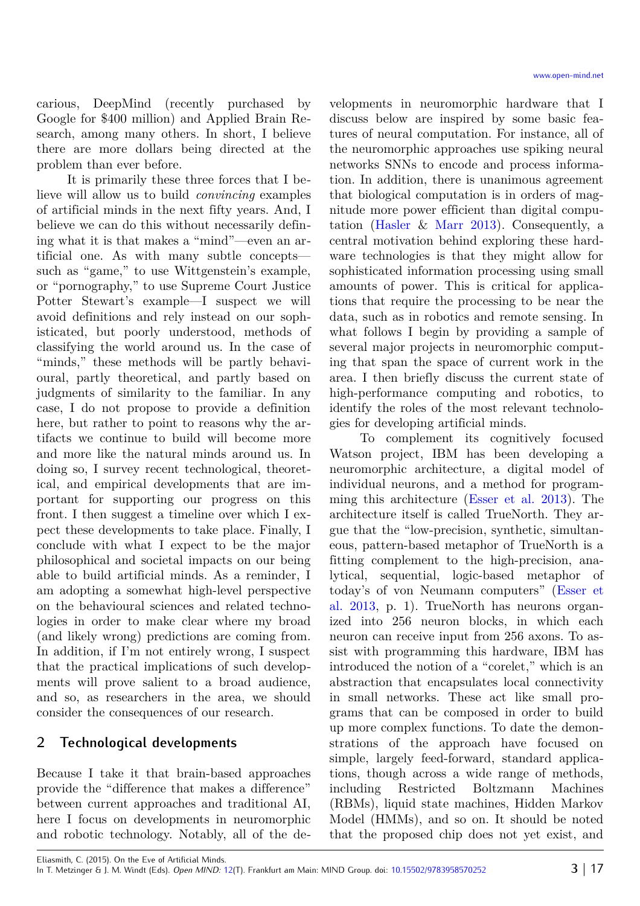carious, DeepMind (recently purchased by Google for \$400 million) and Applied Brain Research, among many others. In short, I believe there are more dollars being directed at the problem than ever before.

It is primarily these three forces that I believe will allow us to build *convincing* examples of artificial minds in the next fifty years. And, I believe we can do this without necessarily defining what it is that makes a "mind"—even an artificial one. As with many subtle concepts such as "game," to use Wittgenstein's example, or "pornography," to use Supreme Court Justice Potter Stewart's example—I suspect we will avoid definitions and rely instead on our sophisticated, but poorly understood, methods of classifying the world around us. In the case of "minds," these methods will be partly behavioural, partly theoretical, and partly based on judgments of similarity to the familiar. In any case, I do not propose to provide a definition here, but rather to point to reasons why the artifacts we continue to build will become more and more like the natural minds around us. In doing so, I survey recent technological, theoretical, and empirical developments that are important for supporting our progress on this front. I then suggest a timeline over which I expect these developments to take place. Finally, I conclude with what I expect to be the major philosophical and societal impacts on our being able to build artificial minds. As a reminder, I am adopting a somewhat high-level perspective on the behavioural sciences and related technologies in order to make clear where my broad (and likely wrong) predictions are coming from. In addition, if I'm not entirely wrong, I suspect that the practical implications of such developments will prove salient to a broad audience, and so, as researchers in the area, we should consider the consequences of our research.

# **2 Technological developments**

Because I take it that brain-based approaches provide the "difference that makes a difference" between current approaches and traditional AI, here I focus on developments in neuromorphic and robotic technology. Notably, all of the developments in neuromorphic hardware that I discuss below are inspired by some basic features of neural computation. For instance, all of the neuromorphic approaches use spiking neural networks SNNs to encode and process information. In addition, there is unanimous agreement that biological computation is in orders of magnitude more power efficient than digital computation [\(Hasler](#page-14-9) & [Marr](#page-14-9) [2013\)](#page-14-9). Consequently, a central motivation behind exploring these hardware technologies is that they might allow for sophisticated information processing using small amounts of power. This is critical for applications that require the processing to be near the data, such as in robotics and remote sensing. In what follows I begin by providing a sample of several major projects in neuromorphic computing that span the space of current work in the area. I then briefly discuss the current state of high-performance computing and robotics, to identify the roles of the most relevant technologies for developing artificial minds.

To complement its cognitively focused Watson project, IBM has been developing a neuromorphic architecture, a digital model of individual neurons, and a method for programming this architecture [\(Esser et al.](#page-14-8) [2013\)](#page-14-8). The architecture itself is called TrueNorth. They argue that the "low-precision, synthetic, simultaneous, pattern-based metaphor of TrueNorth is a fitting complement to the high-precision, analytical, sequential, logic-based metaphor of today's of von Neumann computers" [\(Esser et](#page-14-8) [al.](#page-14-8) [2013,](#page-14-8) p. 1). TrueNorth has neurons organized into 256 neuron blocks, in which each neuron can receive input from 256 axons. To assist with programming this hardware, IBM has introduced the notion of a "corelet," which is an abstraction that encapsulates local connectivity in small networks. These act like small programs that can be composed in order to build up more complex functions. To date the demonstrations of the approach have focused on simple, largely feed-forward, standard applications, though across a wide range of methods, including Restricted Boltzmann Machines (RBMs), liquid state machines, Hidden Markov Model (HMMs), and so on. It should be noted that the proposed chip does not yet exist, and

In T. Metzinger & J. M. Windt (Eds). *Open MIND:* [12\(](http://www.open-mind.net/papers/@@chapters?nr=12)T). Frankfurt am Main: MIND Group. doi: [10.15502/9783958570252](http://dx.doi.org/10.15502/9783958570252) **3** | 17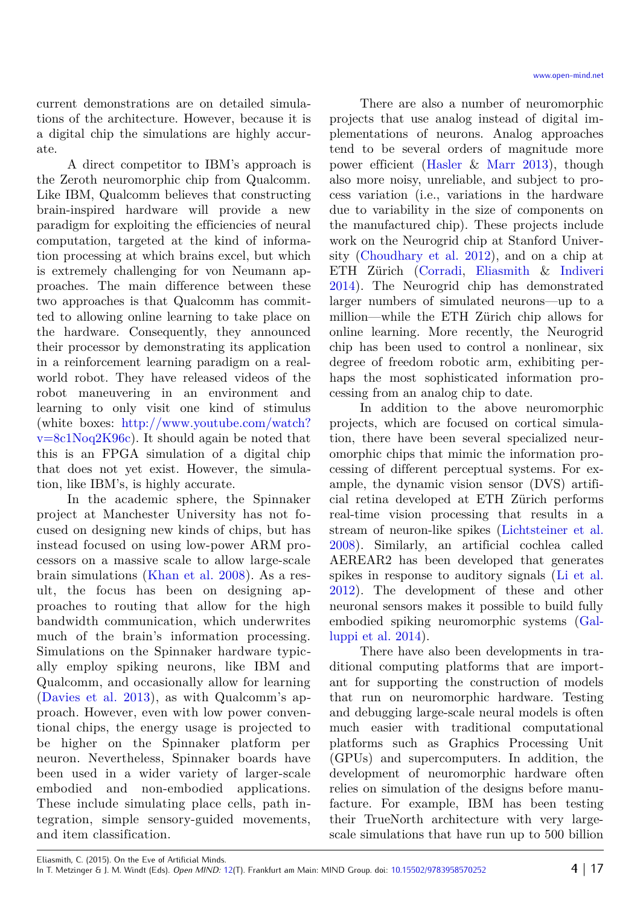current demonstrations are on detailed simulations of the architecture. However, because it is a digital chip the simulations are highly accurate.

A direct competitor to IBM's approach is the Zeroth neuromorphic chip from Qualcomm. Like IBM, Qualcomm believes that constructing brain-inspired hardware will provide a new paradigm for exploiting the efficiencies of neural computation, targeted at the kind of information processing at which brains excel, but which is extremely challenging for von Neumann approaches. The main difference between these two approaches is that Qualcomm has committed to allowing online learning to take place on the hardware. Consequently, they announced their processor by demonstrating its application in a reinforcement learning paradigm on a realworld robot. They have released videos of the robot maneuvering in an environment and learning to only visit one kind of stimulus (white boxes: [http://www.youtube.com/watch?](http://www.youtube.com/watch?v=8c1Noq2K96c) [v=8c1Noq2K96c\)](http://www.youtube.com/watch?v=8c1Noq2K96c). It should again be noted that this is an FPGA simulation of a digital chip that does not yet exist. However, the simulation, like IBM's, is highly accurate.

In the academic sphere, the Spinnaker project at Manchester University has not focused on designing new kinds of chips, but has instead focused on using low-power ARM processors on a massive scale to allow large-scale brain simulations [\(Khan et al.](#page-14-5) [2008\)](#page-14-5). As a result, the focus has been on designing approaches to routing that allow for the high bandwidth communication, which underwrites much of the brain's information processing. Simulations on the Spinnaker hardware typically employ spiking neurons, like IBM and Qualcomm, and occasionally allow for learning [\(Davies et al.](#page-14-12) [2013\)](#page-14-12), as with Qualcomm's approach. However, even with low power conventional chips, the energy usage is projected to be higher on the Spinnaker platform per neuron. Nevertheless, Spinnaker boards have been used in a wider variety of larger-scale embodied and non-embodied applications. These include simulating place cells, path integration, simple sensory-guided movements, and item classification.

There are also a number of neuromorphic projects that use analog instead of digital implementations of neurons. Analog approaches tend to be several orders of magnitude more power efficient [\(Hasler](#page-14-9) & [Marr](#page-14-9) [2013\)](#page-14-9), though also more noisy, unreliable, and subject to process variation (i.e., variations in the hardware due to variability in the size of components on the manufactured chip). These projects include work on the Neurogrid chip at Stanford University [\(Choudhary et al.](#page-14-6) [2012\)](#page-14-6), and on a chip at ETH Zürich [\(Corradi,](#page-14-10) [Eliasmith](#page-14-10) & [Indiveri](#page-14-10) [2014\)](#page-14-10). The Neurogrid chip has demonstrated larger numbers of simulated neurons—up to a million—while the ETH Zürich chip allows for online learning. More recently, the Neurogrid chip has been used to control a nonlinear, six degree of freedom robotic arm, exhibiting perhaps the most sophisticated information processing from an analog chip to date.

In addition to the above neuromorphic projects, which are focused on cortical simulation, there have been several specialized neuromorphic chips that mimic the information processing of different perceptual systems. For example, the dynamic vision sensor (DVS) artificial retina developed at ETH Zürich performs real-time vision processing that results in a stream of neuron-like spikes [\(Lichtsteiner et al.](#page-15-5) [2008\)](#page-15-5). Similarly, an artificial cochlea called AEREAR2 has been developed that generates spikes in response to auditory signals [\(Li et al.](#page-15-4) [2012\)](#page-15-4). The development of these and other neuronal sensors makes it possible to build fully embodied spiking neuromorphic systems [\(Gal](#page-14-11)[luppi et al.](#page-14-11) [2014\)](#page-14-11).

There have also been developments in traditional computing platforms that are important for supporting the construction of models that run on neuromorphic hardware. Testing and debugging large-scale neural models is often much easier with traditional computational platforms such as Graphics Processing Unit (GPUs) and supercomputers. In addition, the development of neuromorphic hardware often relies on simulation of the designs before manufacture. For example, IBM has been testing their TrueNorth architecture with very largescale simulations that have run up to 500 billion

In T. Metzinger & J. M. Windt (Eds). *Open MIND:* [12\(](http://www.open-mind.net/papers/@@chapters?nr=12)T). Frankfurt am Main: MIND Group. doi: [10.15502/9783958570252](http://dx.doi.org/10.15502/9783958570252) **4** | 17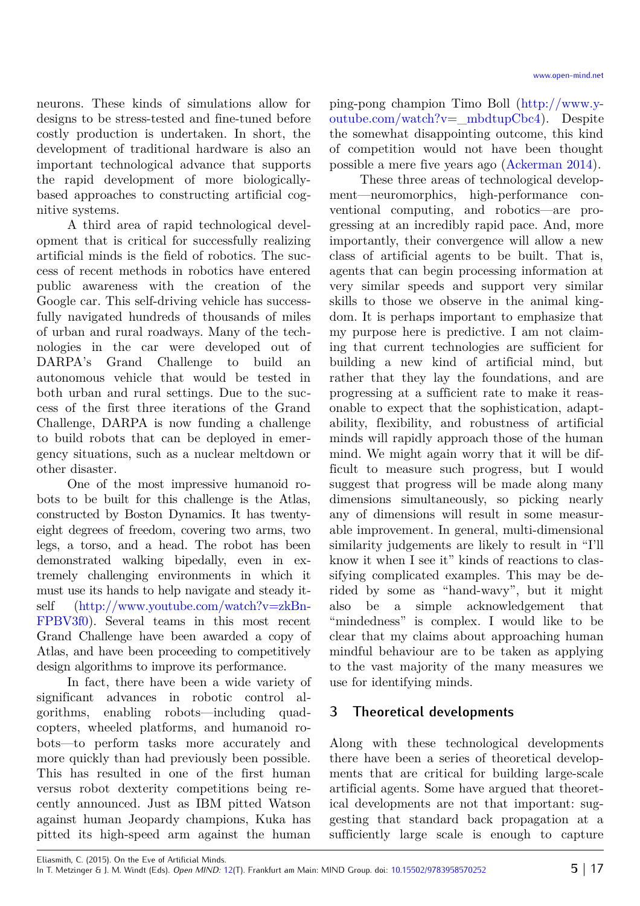neurons. These kinds of simulations allow for designs to be stress-tested and fine-tuned before costly production is undertaken. In short, the development of traditional hardware is also an important technological advance that supports the rapid development of more biologicallybased approaches to constructing artificial cognitive systems.

A third area of rapid technological development that is critical for successfully realizing artificial minds is the field of robotics. The success of recent methods in robotics have entered public awareness with the creation of the Google car. This self-driving vehicle has successfully navigated hundreds of thousands of miles of urban and rural roadways. Many of the technologies in the car were developed out of DARPA's Grand Challenge to build an autonomous vehicle that would be tested in both urban and rural settings. Due to the success of the first three iterations of the Grand Challenge, DARPA is now funding a challenge to build robots that can be deployed in emergency situations, such as a nuclear meltdown or other disaster.

One of the most impressive humanoid robots to be built for this challenge is the Atlas, constructed by Boston Dynamics. It has twentyeight degrees of freedom, covering two arms, two legs, a torso, and a head. The robot has been demonstrated walking bipedally, even in extremely challenging environments in which it must use its hands to help navigate and steady itself [\(http://www.youtube.com/watch?v=zkBn-](http://www.youtube.com/watch?v=zkBnFPBV3f0)[FPBV3f0\)](http://www.youtube.com/watch?v=zkBnFPBV3f0). Several teams in this most recent Grand Challenge have been awarded a copy of Atlas, and have been proceeding to competitively design algorithms to improve its performance.

In fact, there have been a wide variety of significant advances in robotic control algorithms, enabling robots—including quadcopters, wheeled platforms, and humanoid robots—to perform tasks more accurately and more quickly than had previously been possible. This has resulted in one of the first human versus robot dexterity competitions being recently announced. Just as IBM pitted Watson against human Jeopardy champions, Kuka has pitted its high-speed arm against the human

ping-pong champion Timo Boll [\(http://www.y](http://www.youtube.com/watch?v=_mbdtupCbc4)outube.com/watch?v= mbdtupCbc4). Despite the somewhat disappointing outcome, this kind of competition would not have been thought possible a mere five years ago [\(Ackerman](#page-14-13) [2014\)](#page-14-13).

These three areas of technological development—neuromorphics, high-performance conventional computing, and robotics—are progressing at an incredibly rapid pace. And, more importantly, their convergence will allow a new class of artificial agents to be built. That is, agents that can begin processing information at very similar speeds and support very similar skills to those we observe in the animal kingdom. It is perhaps important to emphasize that my purpose here is predictive. I am not claiming that current technologies are sufficient for building a new kind of artificial mind, but rather that they lay the foundations, and are progressing at a sufficient rate to make it reasonable to expect that the sophistication, adaptability, flexibility, and robustness of artificial minds will rapidly approach those of the human mind. We might again worry that it will be difficult to measure such progress, but I would suggest that progress will be made along many dimensions simultaneously, so picking nearly any of dimensions will result in some measurable improvement. In general, multi-dimensional similarity judgements are likely to result in "I'll know it when I see it" kinds of reactions to classifying complicated examples. This may be derided by some as "hand-wavy", but it might also be a simple acknowledgement that "mindedness" is complex. I would like to be clear that my claims about approaching human mindful behaviour are to be taken as applying to the vast majority of the many measures we use for identifying minds.

# **3 Theoretical developments**

Along with these technological developments there have been a series of theoretical developments that are critical for building large-scale artificial agents. Some have argued that theoretical developments are not that important: suggesting that standard back propagation at a sufficiently large scale is enough to capture

In T. Metzinger & J. M. Windt (Eds). *Open MIND:* [12\(](http://www.open-mind.net/papers/@@chapters?nr=12)T). Frankfurt am Main: MIND Group. doi: [10.15502/9783958570252](http://dx.doi.org/10.15502/9783958570252) **5** | 17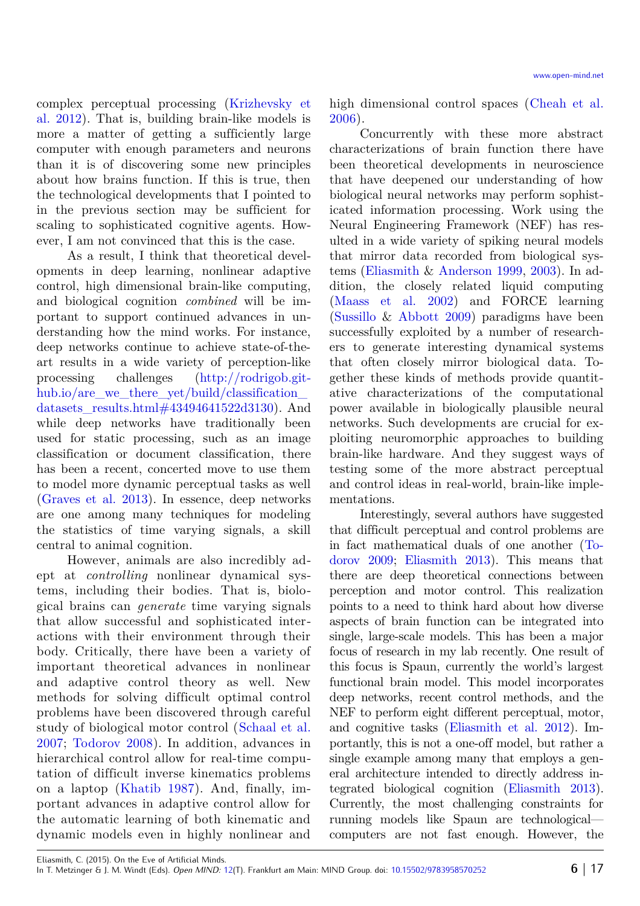complex perceptual processing [\(Krizhevsky et](#page-15-6) [al.](#page-15-6) [2012\)](#page-15-6). That is, building brain-like models is more a matter of getting a sufficiently large computer with enough parameters and neurons than it is of discovering some new principles about how brains function. If this is true, then the technological developments that I pointed to in the previous section may be sufficient for scaling to sophisticated cognitive agents. However, I am not convinced that this is the case.

As a result, I think that theoretical developments in deep learning, nonlinear adaptive control, high dimensional brain-like computing, and biological cognition *combined* will be important to support continued advances in understanding how the mind works. For instance, deep networks continue to achieve state-of-theart results in a wide variety of perception-like processing challenges [\(http://rodrigob.git](http://rodrigob.github.io/are_we_there_yet/build/classification_datasets_results.html)[hub.io/are\\_we\\_there\\_yet/build/classification\\_](http://rodrigob.github.io/are_we_there_yet/build/classification_datasets_results.html) [datasets\\_results.html#43494641522d3130\)](http://rodrigob.github.io/are_we_there_yet/build/classification_datasets_results.html). And while deep networks have traditionally been used for static processing, such as an image classification or document classification, there has been a recent, concerted move to use them to model more dynamic perceptual tasks as well [\(Graves et al.](#page-14-14) [2013\)](#page-14-14). In essence, deep networks are one among many techniques for modeling the statistics of time varying signals, a skill central to animal cognition.

However, animals are also incredibly adept at *controlling* nonlinear dynamical systems, including their bodies. That is, biological brains can *generate* time varying signals that allow successful and sophisticated interactions with their environment through their body. Critically, there have been a variety of important theoretical advances in nonlinear and adaptive control theory as well. New methods for solving difficult optimal control problems have been discovered through careful study of biological motor control ([Schaal et al.](#page-15-2) [2007;](#page-15-2) [Todorov](#page-16-3) [2008\)](#page-16-3). In addition, advances in hierarchical control allow for real-time computation of difficult inverse kinematics problems on a laptop [\(Khatib](#page-15-8) [1987\)](#page-15-8). And, finally, important advances in adaptive control allow for the automatic learning of both kinematic and dynamic models even in highly nonlinear and

[www.open-mind.net](http://www.open-mind.net/)

high dimensional control spaces [\(Cheah et al.](#page-14-1) [2006\)](#page-14-1).

Concurrently with these more abstract characterizations of brain function there have been theoretical developments in neuroscience that have deepened our understanding of how biological neural networks may perform sophisticated information processing. Work using the Neural Engineering Framework (NEF) has resulted in a wide variety of spiking neural models that mirror data recorded from biological systems [\(Eliasmith](#page-14-16) & [Anderson](#page-14-16) [1999,](#page-14-16) [2003\)](#page-14-15). In addition, the closely related liquid computing [\(Maass et al.](#page-15-7) [2002\)](#page-15-7) and FORCE learning [\(Sussillo](#page-16-1) & [Abbott](#page-16-1) [2009\)](#page-16-1) paradigms have been successfully exploited by a number of researchers to generate interesting dynamical systems that often closely mirror biological data. Together these kinds of methods provide quantitative characterizations of the computational power available in biologically plausible neural networks. Such developments are crucial for exploiting neuromorphic approaches to building brain-like hardware. And they suggest ways of testing some of the more abstract perceptual and control ideas in real-world, brain-like implementations.

Interestingly, several authors have suggested that difficult perceptual and control problems are in fact mathematical duals of one another [\(To](#page-16-2)[dorov](#page-16-2) [2009;](#page-16-2) [Eliasmith](#page-14-0) [2013\)](#page-14-0). This means that there are deep theoretical connections between perception and motor control. This realization points to a need to think hard about how diverse aspects of brain function can be integrated into single, large-scale models. This has been a major focus of research in my lab recently. One result of this focus is Spaun, currently the world's largest functional brain model. This model incorporates deep networks, recent control methods, and the NEF to perform eight different perceptual, motor, and cognitive tasks [\(Eliasmith et al.](#page-14-3) [2012\)](#page-14-3). Importantly, this is not a one-off model, but rather a single example among many that employs a general architecture intended to directly address integrated biological cognition [\(Eliasmith](#page-14-0) [2013\)](#page-14-0). Currently, the most challenging constraints for running models like Spaun are technological computers are not fast enough. However, the

In T. Metzinger & J. M. Windt (Eds). *Open MIND:* [12\(](http://www.open-mind.net/papers/@@chapters?nr=12)T). Frankfurt am Main: MIND Group. doi: [10.15502/9783958570252](http://dx.doi.org/10.15502/9783958570252) **6** | 17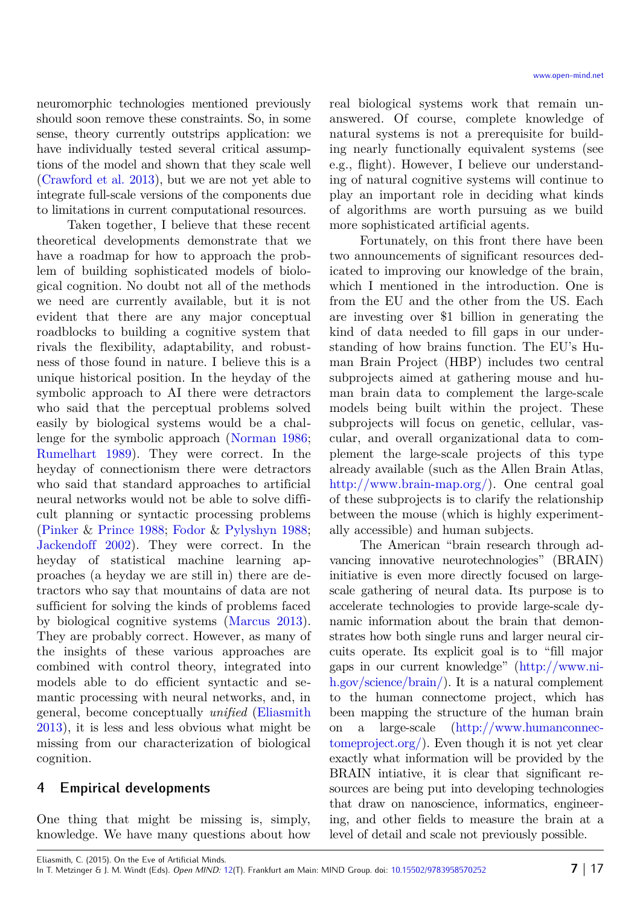neuromorphic technologies mentioned previously should soon remove these constraints. So, in some sense, theory currently outstrips application: we have individually tested several critical assumptions of the model and shown that they scale well [\(Crawford et al.](#page-14-19) [2013\)](#page-14-19), but we are not yet able to integrate full-scale versions of the components due to limitations in current computational resources.

Taken together, I believe that these recent theoretical developments demonstrate that we have a roadmap for how to approach the problem of building sophisticated models of biological cognition. No doubt not all of the methods we need are currently available, but it is not evident that there are any major conceptual roadblocks to building a cognitive system that rivals the flexibility, adaptability, and robustness of those found in nature. I believe this is a unique historical position. In the heyday of the symbolic approach to AI there were detractors who said that the perceptual problems solved easily by biological systems would be a challenge for the symbolic approach [\(Norman](#page-15-12) [1986;](#page-15-12) [Rumelhart](#page-15-11) [1989\)](#page-15-11). They were correct. In the heyday of connectionism there were detractors who said that standard approaches to artificial neural networks would not be able to solve difficult planning or syntactic processing problems [\(Pinker](#page-15-10) & [Prince](#page-15-10) [1988;](#page-15-10) [Fodor](#page-14-18) & [Pylyshyn](#page-14-18) [1988;](#page-14-18) [Jackendoff](#page-14-17) [2002\)](#page-14-17). They were correct. In the heyday of statistical machine learning approaches (a heyday we are still in) there are detractors who say that mountains of data are not sufficient for solving the kinds of problems faced by biological cognitive systems [\(Marcus](#page-15-9) [2013\)](#page-15-9). They are probably correct. However, as many of the insights of these various approaches are combined with control theory, integrated into models able to do efficient syntactic and semantic processing with neural networks, and, in general, become conceptually *unified* [\(Eliasmith](#page-14-0) [2013\)](#page-14-0), it is less and less obvious what might be missing from our characterization of biological cognition.

#### **4 Empirical developments**

One thing that might be missing is, simply, knowledge. We have many questions about how

real biological systems work that remain unanswered. Of course, complete knowledge of natural systems is not a prerequisite for building nearly functionally equivalent systems (see e.g., flight). However, I believe our understanding of natural cognitive systems will continue to play an important role in deciding what kinds of algorithms are worth pursuing as we build more sophisticated artificial agents.

Fortunately, on this front there have been two announcements of significant resources dedicated to improving our knowledge of the brain, which I mentioned in the introduction. One is from the EU and the other from the US. Each are investing over \$1 billion in generating the kind of data needed to fill gaps in our understanding of how brains function. The EU's Human Brain Project (HBP) includes two central subprojects aimed at gathering mouse and human brain data to complement the large-scale models being built within the project. These subprojects will focus on genetic, cellular, vascular, and overall organizational data to complement the large-scale projects of this type already available (such as the Allen Brain Atlas, [http://www.brain-map.org/\)](http://www.brain-map.org/). One central goal of these subprojects is to clarify the relationship between the mouse (which is highly experimentally accessible) and human subjects.

The American "brain research through advancing innovative neurotechnologies" (BRAIN) initiative is even more directly focused on largescale gathering of neural data. Its purpose is to accelerate technologies to provide large-scale dynamic information about the brain that demonstrates how both single runs and larger neural circuits operate. Its explicit goal is to "fill major gaps in our current knowledge" [\(http://www.ni](http://www.nih.gov/science/brain/)[h.gov/science/brain/\)](http://www.nih.gov/science/brain/). It is a natural complement to the human connectome project, which has been mapping the structure of the human brain on a large-scale [\(http://www.humanconnec](http://www.humanconnectomeproject.org/)[tomeproject.org/\)](http://www.humanconnectomeproject.org/). Even though it is not yet clear exactly what information will be provided by the BRAIN intiative, it is clear that significant resources are being put into developing technologies that draw on nanoscience, informatics, engineering, and other fields to measure the brain at a level of detail and scale not previously possible.

In T. Metzinger & J. M. Windt (Eds). *Open MIND:* [12\(](http://www.open-mind.net/papers/@@chapters?nr=12)T). Frankfurt am Main: MIND Group. doi: [10.15502/9783958570252](http://dx.doi.org/10.15502/9783958570252) **7** | 17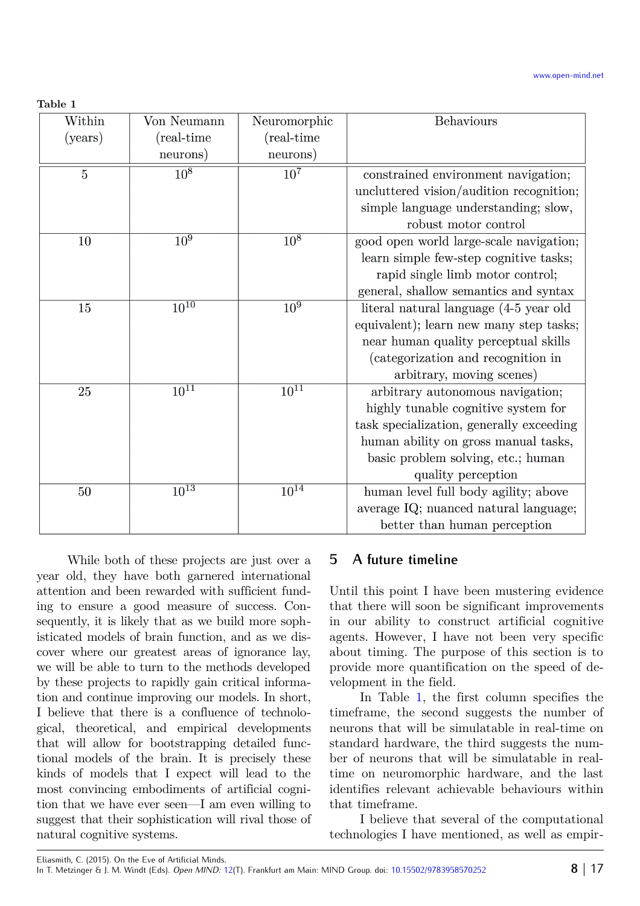| Within         | Von Neumann     | Neuromorphic      | <b>Behaviours</b>                        |
|----------------|-----------------|-------------------|------------------------------------------|
| (years)        | (real-time)     | (real-time)       |                                          |
|                | neurons)        | neurons)          |                                          |
| $\overline{5}$ | 10 <sup>8</sup> | $\overline{10^7}$ | constrained environment navigation;      |
|                |                 |                   | uncluttered vision/audition recognition; |
|                |                 |                   | simple language understanding; slow,     |
|                |                 |                   | robust motor control                     |
| 10             | 10 <sup>9</sup> | $10^{8}$          | good open world large-scale navigation;  |
|                |                 |                   | learn simple few-step cognitive tasks;   |
|                |                 |                   | rapid single limb motor control;         |
|                |                 |                   | general, shallow semantics and syntax    |
| 15             | $10^{10}$       | 10 <sup>9</sup>   | literal natural language (4-5 year old   |
|                |                 |                   | equivalent); learn new many step tasks;  |
|                |                 |                   | near human quality perceptual skills     |
|                |                 |                   | (categorization and recognition in       |
|                |                 |                   | arbitrary, moving scenes)                |
| $25\,$         | $10^{11}$       | $10^{11}$         | arbitrary autonomous navigation;         |
|                |                 |                   | highly tunable cognitive system for      |
|                |                 |                   | task specialization, generally exceeding |
|                |                 |                   | human ability on gross manual tasks,     |
|                |                 |                   | basic problem solving, etc.; human       |
|                |                 |                   | quality perception                       |
| 50             | $10^{13}$       | $10^{14}$         | human level full body agility; above     |
|                |                 |                   | average IQ; nuanced natural language;    |
|                |                 |                   | better than human perception             |

While both of these projects are just over a year old, they have both garnered international attention and been rewarded with sufficient funding to ensure a good measure of success. Consequently, it is likely that as we build more sophisticated models of brain function, and as we discover where our greatest areas of ignorance lay, we will be able to turn to the methods developed by these projects to rapidly gain critical information and continue improving our models. In short, I believe that there is a confluence of technological, theoretical, and empirical developments that will allow for bootstrapping detailed functional models of the brain. It is precisely these kinds of models that I expect will lead to the most convincing embodiments of artificial cognition that we have ever seen—I am even willing to suggest that their sophistication will rival those of natural cognitive systems.

# **5 A future timeline**

Until this point I have been mustering evidence that there will soon be significant improvements in our ability to construct artificial cognitive agents. However, I have not been very specific about timing. The purpose of this section is to provide more quantification on the speed of development in the field.

<span id="page-7-0"></span>In Table [1,](#page-7-0) the first column specifies the timeframe, the second suggests the number of neurons that will be simulatable in real-time on standard hardware, the third suggests the number of neurons that will be simulatable in realtime on neuromorphic hardware, and the last identifies relevant achievable behaviours within that timeframe.

I believe that several of the computational technologies I have mentioned, as well as empir-

In T. Metzinger & J. M. Windt (Eds). *Open MIND:* [12\(](http://www.open-mind.net/papers/@@chapters?nr=12)T). Frankfurt am Main: MIND Group. doi: [10.15502/9783958570252](http://dx.doi.org/10.15502/9783958570252) **8** | 17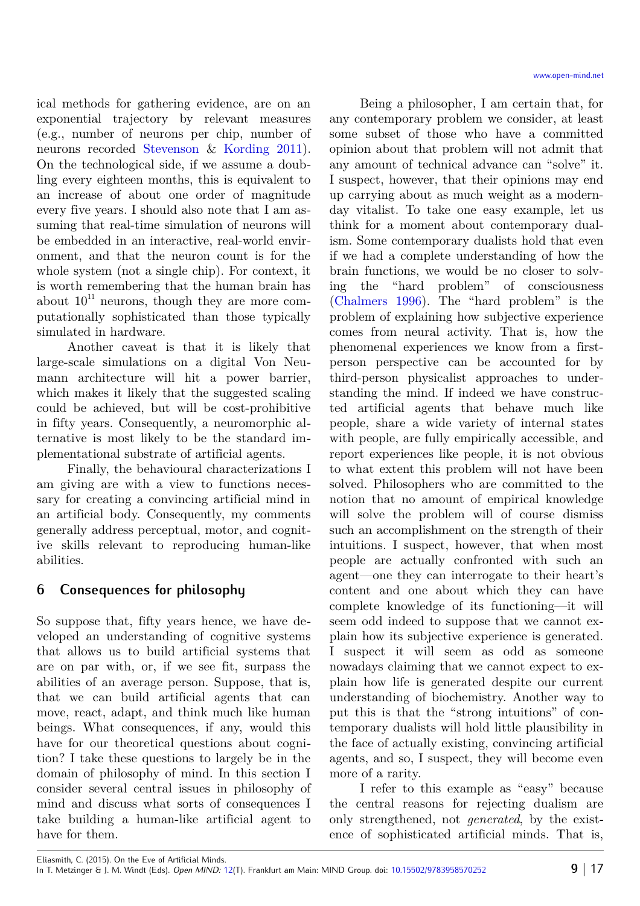ical methods for gathering evidence, are on an exponential trajectory by relevant measures (e.g., number of neurons per chip, number of neurons recorded [Stevenson](#page-15-13) & [Kording](#page-15-13) [2011\)](#page-15-13). On the technological side, if we assume a doubling every eighteen months, this is equivalent to an increase of about one order of magnitude every five years. I should also note that I am assuming that real-time simulation of neurons will be embedded in an interactive, real-world environment, and that the neuron count is for the whole system (not a single chip). For context, it is worth remembering that the human brain has about  $10^{11}$  neurons, though they are more computationally sophisticated than those typically simulated in hardware.

Another caveat is that it is likely that large-scale simulations on a digital Von Neumann architecture will hit a power barrier, which makes it likely that the suggested scaling could be achieved, but will be cost-prohibitive in fifty years. Consequently, a neuromorphic alternative is most likely to be the standard implementational substrate of artificial agents.

Finally, the behavioural characterizations I am giving are with a view to functions necessary for creating a convincing artificial mind in an artificial body. Consequently, my comments generally address perceptual, motor, and cognitive skills relevant to reproducing human-like abilities.

## **6 Consequences for philosophy**

So suppose that, fifty years hence, we have developed an understanding of cognitive systems that allows us to build artificial systems that are on par with, or, if we see fit, surpass the abilities of an average person. Suppose, that is, that we can build artificial agents that can move, react, adapt, and think much like human beings. What consequences, if any, would this have for our theoretical questions about cognition? I take these questions to largely be in the domain of philosophy of mind. In this section I consider several central issues in philosophy of mind and discuss what sorts of consequences I take building a human-like artificial agent to have for them.

Being a philosopher, I am certain that, for any contemporary problem we consider, at least some subset of those who have a committed opinion about that problem will not admit that any amount of technical advance can "solve" it. I suspect, however, that their opinions may end up carrying about as much weight as a modernday vitalist. To take one easy example, let us think for a moment about contemporary dualism. Some contemporary dualists hold that even if we had a complete understanding of how the brain functions, we would be no closer to solving the "hard problem" of consciousness [\(Chalmers](#page-14-20) [1996\)](#page-14-20). The "hard problem" is the problem of explaining how subjective experience comes from neural activity. That is, how the phenomenal experiences we know from a firstperson perspective can be accounted for by third-person physicalist approaches to understanding the mind. If indeed we have constructed artificial agents that behave much like people, share a wide variety of internal states with people, are fully empirically accessible, and report experiences like people, it is not obvious to what extent this problem will not have been solved. Philosophers who are committed to the notion that no amount of empirical knowledge will solve the problem will of course dismiss such an accomplishment on the strength of their intuitions. I suspect, however, that when most people are actually confronted with such an agent—one they can interrogate to their heart's content and one about which they can have complete knowledge of its functioning—it will seem odd indeed to suppose that we cannot explain how its subjective experience is generated. I suspect it will seem as odd as someone nowadays claiming that we cannot expect to explain how life is generated despite our current understanding of biochemistry. Another way to put this is that the "strong intuitions" of contemporary dualists will hold little plausibility in the face of actually existing, convincing artificial agents, and so, I suspect, they will become even more of a rarity.

I refer to this example as "easy" because the central reasons for rejecting dualism are only strengthened, not *generated*, by the existence of sophisticated artificial minds. That is,

```
In T. Metzinger & J. M. Windt (Eds). Open MIND: 12(T). Frankfurt am Main: MIND Group. doi: 10.15502/9783958570252 9 | 17
```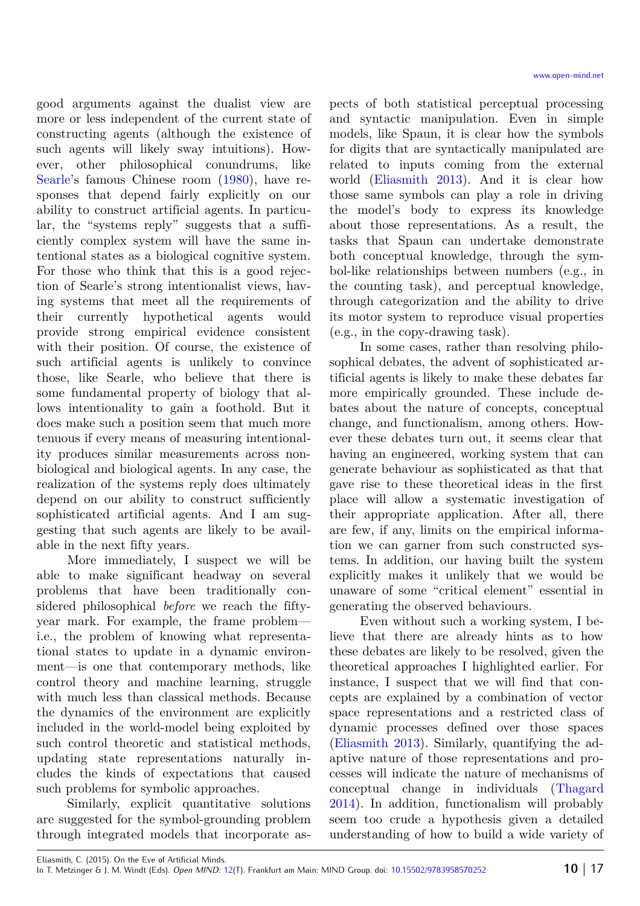good arguments against the dualist view are more or less independent of the current state of constructing agents (although the existence of such agents will likely sway intuitions). However, other philosophical conundrums, like [Searle'](#page-15-14)s famous Chinese room [\(1980\)](#page-15-14), have responses that depend fairly explicitly on our ability to construct artificial agents. In particular, the "systems reply" suggests that a sufficiently complex system will have the same intentional states as a biological cognitive system. For those who think that this is a good rejection of Searle's strong intentionalist views, having systems that meet all the requirements of their currently hypothetical agents would provide strong empirical evidence consistent with their position. Of course, the existence of such artificial agents is unlikely to convince those, like Searle, who believe that there is some fundamental property of biology that allows intentionality to gain a foothold. But it does make such a position seem that much more tenuous if every means of measuring intentionality produces similar measurements across nonbiological and biological agents. In any case, the realization of the systems reply does ultimately depend on our ability to construct sufficiently sophisticated artificial agents. And I am suggesting that such agents are likely to be available in the next fifty years.

More immediately, I suspect we will be able to make significant headway on several problems that have been traditionally considered philosophical *before* we reach the fiftyyear mark. For example, the frame problem i.e., the problem of knowing what representational states to update in a dynamic environment—is one that contemporary methods, like control theory and machine learning, struggle with much less than classical methods. Because the dynamics of the environment are explicitly included in the world-model being exploited by such control theoretic and statistical methods, updating state representations naturally includes the kinds of expectations that caused such problems for symbolic approaches.

Similarly, explicit quantitative solutions are suggested for the symbol-grounding problem through integrated models that incorporate aspects of both statistical perceptual processing and syntactic manipulation. Even in simple models, like Spaun, it is clear how the symbols for digits that are syntactically manipulated are related to inputs coming from the external world [\(Eliasmith](#page-14-0) [2013\)](#page-14-0). And it is clear how those same symbols can play a role in driving the model's body to express its knowledge about those representations. As a result, the tasks that Spaun can undertake demonstrate both conceptual knowledge, through the symbol-like relationships between numbers (e.g., in the counting task), and perceptual knowledge, through categorization and the ability to drive its motor system to reproduce visual properties (e.g., in the copy-drawing task).

In some cases, rather than resolving philosophical debates, the advent of sophisticated artificial agents is likely to make these debates far more empirically grounded. These include debates about the nature of concepts, conceptual change, and functionalism, among others. However these debates turn out, it seems clear that having an engineered, working system that can generate behaviour as sophisticated as that that gave rise to these theoretical ideas in the first place will allow a systematic investigation of their appropriate application. After all, there are few, if any, limits on the empirical information we can garner from such constructed systems. In addition, our having built the system explicitly makes it unlikely that we would be unaware of some "critical element" essential in generating the observed behaviours.

Even without such a working system, I believe that there are already hints as to how these debates are likely to be resolved, given the theoretical approaches I highlighted earlier. For instance, I suspect that we will find that concepts are explained by a combination of vector space representations and a restricted class of dynamic processes defined over those spaces [\(Eliasmith](#page-14-0) [2013\)](#page-14-0). Similarly, quantifying the adaptive nature of those representations and processes will indicate the nature of mechanisms of conceptual change in individuals [\(Thagard](#page-16-4) [2014\)](#page-16-4). In addition, functionalism will probably seem too crude a hypothesis given a detailed understanding of how to build a wide variety of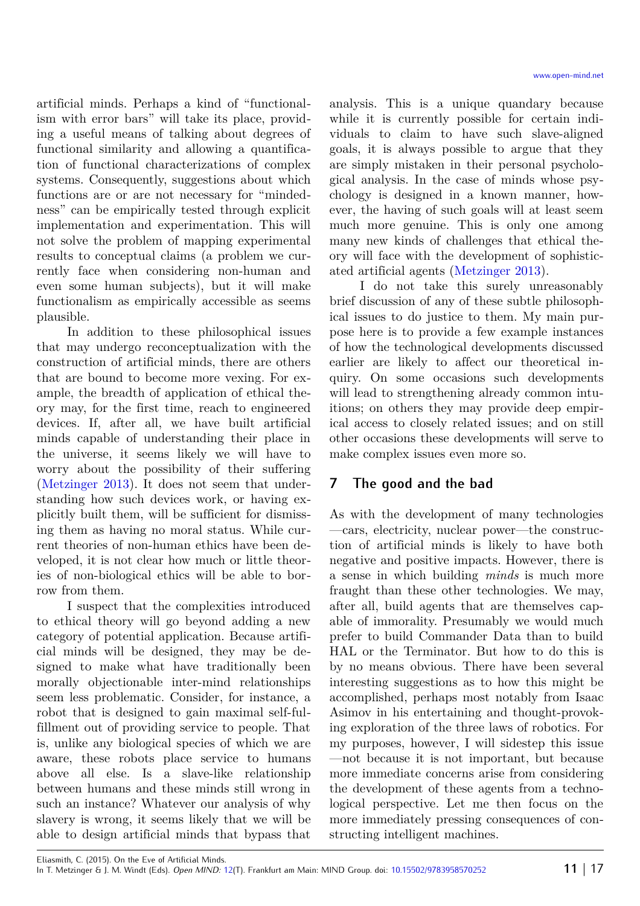artificial minds. Perhaps a kind of "functionalism with error bars" will take its place, providing a useful means of talking about degrees of functional similarity and allowing a quantification of functional characterizations of complex systems. Consequently, suggestions about which functions are or are not necessary for "mindedness" can be empirically tested through explicit implementation and experimentation. This will not solve the problem of mapping experimental results to conceptual claims (a problem we currently face when considering non-human and even some human subjects), but it will make functionalism as empirically accessible as seems plausible.

In addition to these philosophical issues that may undergo reconceptualization with the construction of artificial minds, there are others that are bound to become more vexing. For example, the breadth of application of ethical theory may, for the first time, reach to engineered devices. If, after all, we have built artificial minds capable of understanding their place in the universe, it seems likely we will have to worry about the possibility of their suffering [\(Metzinger](#page-15-15) [2013\)](#page-15-15). It does not seem that understanding how such devices work, or having explicitly built them, will be sufficient for dismissing them as having no moral status. While current theories of non-human ethics have been developed, it is not clear how much or little theories of non-biological ethics will be able to borrow from them.

I suspect that the complexities introduced to ethical theory will go beyond adding a new category of potential application. Because artificial minds will be designed, they may be designed to make what have traditionally been morally objectionable inter-mind relationships seem less problematic. Consider, for instance, a robot that is designed to gain maximal self-fulfillment out of providing service to people. That is, unlike any biological species of which we are aware, these robots place service to humans above all else. Is a slave-like relationship between humans and these minds still wrong in such an instance? Whatever our analysis of why slavery is wrong, it seems likely that we will be able to design artificial minds that bypass that

analysis. This is a unique quandary because while it is currently possible for certain individuals to claim to have such slave-aligned goals, it is always possible to argue that they are simply mistaken in their personal psychological analysis. In the case of minds whose psychology is designed in a known manner, however, the having of such goals will at least seem much more genuine. This is only one among many new kinds of challenges that ethical theory will face with the development of sophisticated artificial agents [\(Metzinger](#page-15-15) [2013\)](#page-15-15).

I do not take this surely unreasonably brief discussion of any of these subtle philosophical issues to do justice to them. My main purpose here is to provide a few example instances of how the technological developments discussed earlier are likely to affect our theoretical inquiry. On some occasions such developments will lead to strengthening already common intuitions; on others they may provide deep empirical access to closely related issues; and on still other occasions these developments will serve to make complex issues even more so.

# **7 The good and the bad**

As with the development of many technologies —cars, electricity, nuclear power—the construction of artificial minds is likely to have both negative and positive impacts. However, there is a sense in which building *minds* is much more fraught than these other technologies. We may, after all, build agents that are themselves capable of immorality. Presumably we would much prefer to build Commander Data than to build HAL or the Terminator. But how to do this is by no means obvious. There have been several interesting suggestions as to how this might be accomplished, perhaps most notably from Isaac Asimov in his entertaining and thought-provoking exploration of the three laws of robotics. For my purposes, however, I will sidestep this issue —not because it is not important, but because more immediate concerns arise from considering the development of these agents from a technological perspective. Let me then focus on the more immediately pressing consequences of constructing intelligent machines.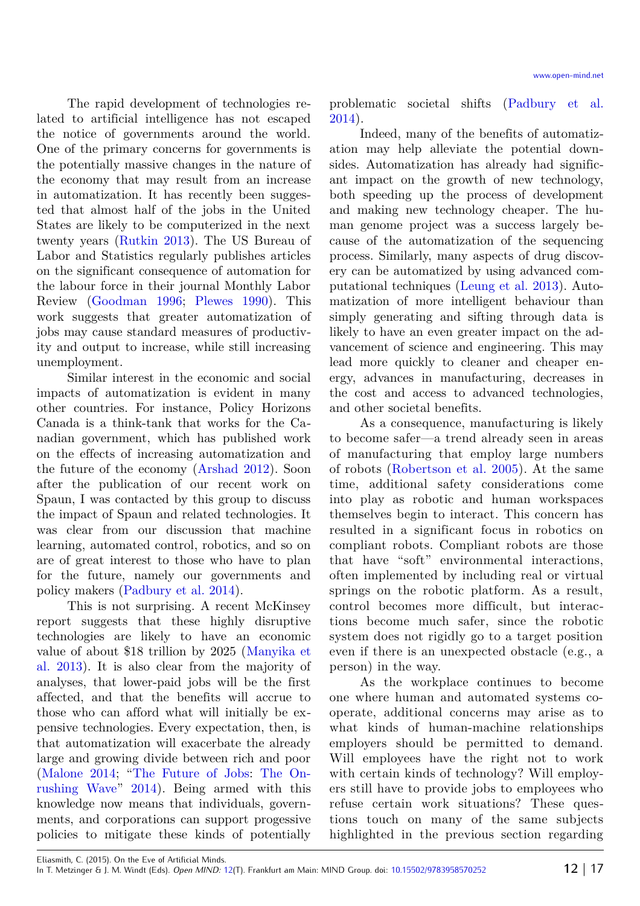The rapid development of technologies related to artificial intelligence has not escaped the notice of governments around the world. One of the primary concerns for governments is the potentially massive changes in the nature of the economy that may result from an increase in automatization. It has recently been suggested that almost half of the jobs in the United States are likely to be computerized in the next twenty years [\(Rutkin](#page-15-17) [2013\)](#page-15-17). The US Bureau of Labor and Statistics regularly publishes articles on the significant consequence of automation for the labour force in their journal Monthly Labor Review [\(Goodman](#page-14-21) [1996;](#page-14-21) [Plewes](#page-15-16) [1990\)](#page-15-16). This work suggests that greater automatization of jobs may cause standard measures of productivity and output to increase, while still increasing unemployment.

Similar interest in the economic and social impacts of automatization is evident in many other countries. For instance, Policy Horizons Canada is a think-tank that works for the Canadian government, which has published work on the effects of increasing automatization and the future of the economy [\(Arshad](#page-14-22) [2012\)](#page-14-22). Soon after the publication of our recent work on Spaun, I was contacted by this group to discuss the impact of Spaun and related technologies. It was clear from our discussion that machine learning, automated control, robotics, and so on are of great interest to those who have to plan for the future, namely our governments and policy makers [\(Padbury et al.](#page-15-18) [2014\)](#page-15-18).

This is not surprising. A recent McKinsey report suggests that these highly disruptive technologies are likely to have an economic value of about \$18 trillion by 2025 [\(Manyika et](#page-15-21) [al.](#page-15-21) [2013\)](#page-15-21). It is also clear from the majority of analyses, that lower-paid jobs will be the first affected, and that the benefits will accrue to those who can afford what will initially be expensive technologies. Every expectation, then, is that automatization will exacerbate the already large and growing divide between rich and poor [\(Malone](#page-15-20) [2014;](#page-15-20) ["The](#page-15-19) [Future](#page-15-19) [of](#page-15-19) [Jobs: The](#page-15-19) [On](#page-15-19)[rushing](#page-15-19) [Wave" 2014\)](#page-15-19). Being armed with this knowledge now means that individuals, governments, and corporations can support progessive policies to mitigate these kinds of potentially problematic societal shifts [\(Padbury et al.](#page-15-18) [2014\)](#page-15-18).

Indeed, many of the benefits of automatization may help alleviate the potential downsides. Automatization has already had significant impact on the growth of new technology, both speeding up the process of development and making new technology cheaper. The human genome project was a success largely because of the automatization of the sequencing process. Similarly, many aspects of drug discovery can be automatized by using advanced computational techniques [\(Leung et al.](#page-15-22) [2013\)](#page-15-22). Automatization of more intelligent behaviour than simply generating and sifting through data is likely to have an even greater impact on the advancement of science and engineering. This may lead more quickly to cleaner and cheaper energy, advances in manufacturing, decreases in the cost and access to advanced technologies, and other societal benefits.

As a consequence, manufacturing is likely to become safer—a trend already seen in areas of manufacturing that employ large numbers of robots [\(Robertson et al.](#page-15-23) [2005\)](#page-15-23). At the same time, additional safety considerations come into play as robotic and human workspaces themselves begin to interact. This concern has resulted in a significant focus in robotics on compliant robots. Compliant robots are those that have "soft" environmental interactions, often implemented by including real or virtual springs on the robotic platform. As a result, control becomes more difficult, but interactions become much safer, since the robotic system does not rigidly go to a target position even if there is an unexpected obstacle (e.g., a person) in the way.

As the workplace continues to become one where human and automated systems cooperate, additional concerns may arise as to what kinds of human-machine relationships employers should be permitted to demand. Will employees have the right not to work with certain kinds of technology? Will employers still have to provide jobs to employees who refuse certain work situations? These questions touch on many of the same subjects highlighted in the previous section regarding

In T. Metzinger & J. M. Windt (Eds). *Open MIND:* [12\(](http://www.open-mind.net/papers/@@chapters?nr=12)T). Frankfurt am Main: MIND Group. doi: [10.15502/9783958570252](http://dx.doi.org/10.15502/9783958570252) **12** | 17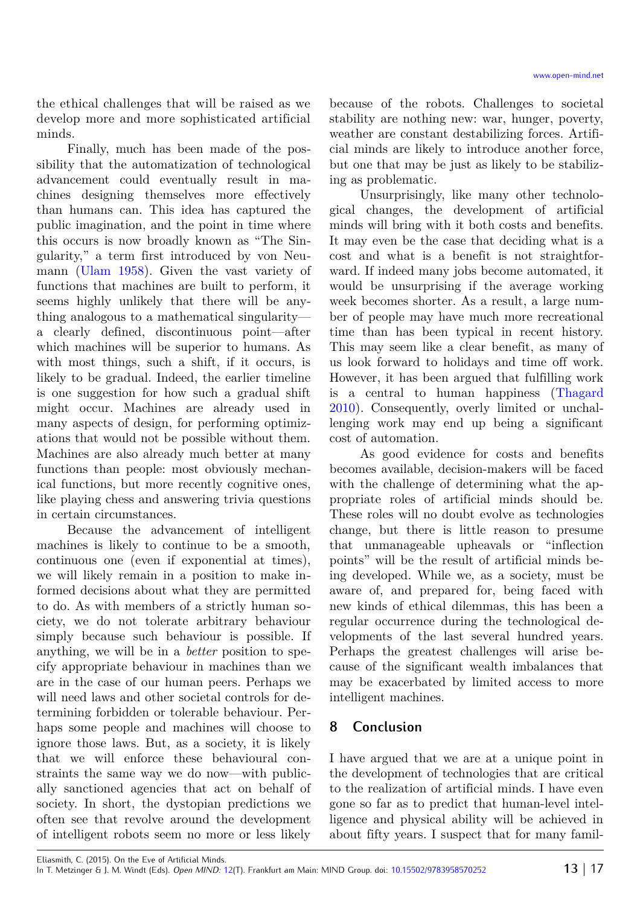the ethical challenges that will be raised as we develop more and more sophisticated artificial minds.

Finally, much has been made of the possibility that the automatization of technological advancement could eventually result in machines designing themselves more effectively than humans can. This idea has captured the public imagination, and the point in time where this occurs is now broadly known as "The Singularity," a term first introduced by von Neumann [\(Ulam](#page-16-5) [1958\)](#page-16-5). Given the vast variety of functions that machines are built to perform, it seems highly unlikely that there will be anything analogous to a mathematical singularity a clearly defined, discontinuous point—after which machines will be superior to humans. As with most things, such a shift, if it occurs, is likely to be gradual. Indeed, the earlier timeline is one suggestion for how such a gradual shift might occur. Machines are already used in many aspects of design, for performing optimizations that would not be possible without them. Machines are also already much better at many functions than people: most obviously mechanical functions, but more recently cognitive ones, like playing chess and answering trivia questions in certain circumstances.

Because the advancement of intelligent machines is likely to continue to be a smooth, continuous one (even if exponential at times), we will likely remain in a position to make informed decisions about what they are permitted to do. As with members of a strictly human society, we do not tolerate arbitrary behaviour simply because such behaviour is possible. If anything, we will be in a *better* position to specify appropriate behaviour in machines than we are in the case of our human peers. Perhaps we will need laws and other societal controls for determining forbidden or tolerable behaviour. Perhaps some people and machines will choose to ignore those laws. But, as a society, it is likely that we will enforce these behavioural constraints the same way we do now—with publically sanctioned agencies that act on behalf of society. In short, the dystopian predictions we often see that revolve around the development of intelligent robots seem no more or less likely

because of the robots. Challenges to societal stability are nothing new: war, hunger, poverty, weather are constant destabilizing forces. Artificial minds are likely to introduce another force, but one that may be just as likely to be stabilizing as problematic.

Unsurprisingly, like many other technological changes, the development of artificial minds will bring with it both costs and benefits. It may even be the case that deciding what is a cost and what is a benefit is not straightforward. If indeed many jobs become automated, it would be unsurprising if the average working week becomes shorter. As a result, a large number of people may have much more recreational time than has been typical in recent history. This may seem like a clear benefit, as many of us look forward to holidays and time off work. However, it has been argued that fulfilling work is a central to human happiness [\(Thagard](#page-16-6) [2010\)](#page-16-6). Consequently, overly limited or unchallenging work may end up being a significant cost of automation.

As good evidence for costs and benefits becomes available, decision-makers will be faced with the challenge of determining what the appropriate roles of artificial minds should be. These roles will no doubt evolve as technologies change, but there is little reason to presume that unmanageable upheavals or "inflection points" will be the result of artificial minds being developed. While we, as a society, must be aware of, and prepared for, being faced with new kinds of ethical dilemmas, this has been a regular occurrence during the technological developments of the last several hundred years. Perhaps the greatest challenges will arise because of the significant wealth imbalances that may be exacerbated by limited access to more intelligent machines.

# **8 Conclusion**

I have argued that we are at a unique point in the development of technologies that are critical to the realization of artificial minds. I have even gone so far as to predict that human-level intelligence and physical ability will be achieved in about fifty years. I suspect that for many famil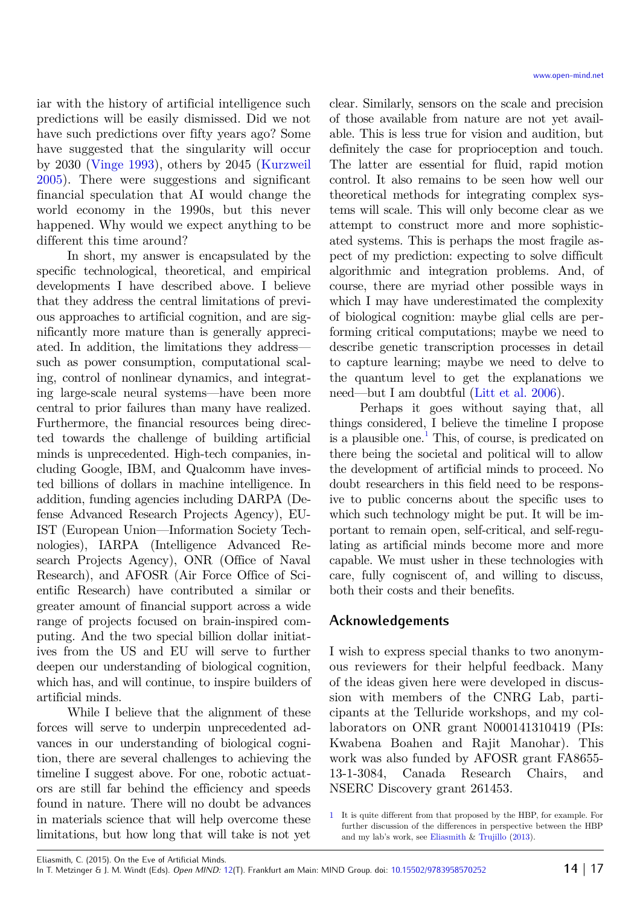iar with the history of artificial intelligence such predictions will be easily dismissed. Did we not have such predictions over fifty years ago? Some have suggested that the singularity will occur by 2030 [\(Vinge](#page-16-7) [1993\)](#page-16-7), others by 2045 [\(Kurzweil](#page-15-24) [2005\)](#page-15-24). There were suggestions and significant financial speculation that AI would change the world economy in the 1990s, but this never happened. Why would we expect anything to be different this time around?

In short, my answer is encapsulated by the specific technological, theoretical, and empirical developments I have described above. I believe that they address the central limitations of previous approaches to artificial cognition, and are significantly more mature than is generally appreciated. In addition, the limitations they address such as power consumption, computational scaling, control of nonlinear dynamics, and integrating large-scale neural systems—have been more central to prior failures than many have realized. Furthermore, the financial resources being directed towards the challenge of building artificial minds is unprecedented. High-tech companies, including Google, IBM, and Qualcomm have invested billions of dollars in machine intelligence. In addition, funding agencies including DARPA (Defense Advanced Research Projects Agency), EU-IST (European Union—Information Society Technologies), IARPA (Intelligence Advanced Research Projects Agency), ONR (Office of Naval Research), and AFOSR (Air Force Office of Scientific Research) have contributed a similar or greater amount of financial support across a wide range of projects focused on brain-inspired computing. And the two special billion dollar initiatives from the US and EU will serve to further deepen our understanding of biological cognition, which has, and will continue, to inspire builders of artificial minds.

While I believe that the alignment of these forces will serve to underpin unprecedented advances in our understanding of biological cognition, there are several challenges to achieving the timeline I suggest above. For one, robotic actuators are still far behind the efficiency and speeds found in nature. There will no doubt be advances in materials science that will help overcome these limitations, but how long that will take is not yet

clear. Similarly, sensors on the scale and precision of those available from nature are not yet available. This is less true for vision and audition, but definitely the case for proprioception and touch. The latter are essential for fluid, rapid motion control. It also remains to be seen how well our theoretical methods for integrating complex systems will scale. This will only become clear as we attempt to construct more and more sophisticated systems. This is perhaps the most fragile aspect of my prediction: expecting to solve difficult algorithmic and integration problems. And, of course, there are myriad other possible ways in which I may have underestimated the complexity of biological cognition: maybe glial cells are performing critical computations; maybe we need to describe genetic transcription processes in detail to capture learning; maybe we need to delve to the quantum level to get the explanations we need—but I am doubtful [\(Litt et al.](#page-15-25) [2006\)](#page-15-25).

Perhaps it goes without saying that, all things considered, I believe the timeline I propose is a plausible one.<sup>[1](#page-13-0)</sup> This, of course, is predicated on there being the societal and political will to allow the development of artificial minds to proceed. No doubt researchers in this field need to be responsive to public concerns about the specific uses to which such technology might be put. It will be important to remain open, self-critical, and self-regulating as artificial minds become more and more capable. We must usher in these technologies with care, fully cogniscent of, and willing to discuss, both their costs and their benefits.

#### **Acknowledgements**

I wish to express special thanks to two anonymous reviewers for their helpful feedback. Many of the ideas given here were developed in discussion with members of the CNRG Lab, participants at the Telluride workshops, and my collaborators on ONR grant N000141310419 (PIs: Kwabena Boahen and Rajit Manohar). This work was also funded by AFOSR grant FA8655- 13-1-3084, Canada Research Chairs, and NSERC Discovery grant 261453.

<span id="page-13-0"></span><sup>1</sup> It is quite different from that proposed by the HBP, for example. For further discussion of the differences in perspective between the HBP and my lab's work, see [Eliasmith](#page-14-23) & [Trujillo \(2013\)](#page-14-23).

In T. Metzinger & J. M. Windt (Eds). *Open MIND:* [12\(](http://www.open-mind.net/papers/@@chapters?nr=12)T). Frankfurt am Main: MIND Group. doi: [10.15502/9783958570252](http://dx.doi.org/10.15502/9783958570252) **14** | 17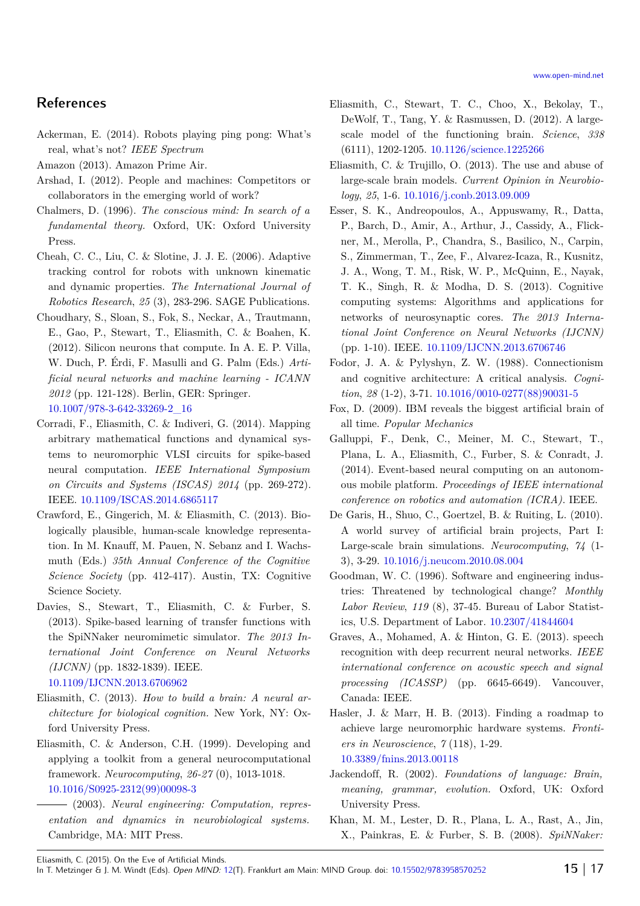## **References**

- <span id="page-14-13"></span>Ackerman, E. (2014). Robots playing ping pong: What's real, what's not? *IEEE Spectrum*
- <span id="page-14-7"></span>Amazon (2013). Amazon Prime Air.
- <span id="page-14-22"></span>Arshad, I. (2012). People and machines: Competitors or collaborators in the emerging world of work?
- <span id="page-14-20"></span>Chalmers, D. (1996). *The conscious mind: In search of a fundamental theory.* Oxford, UK: Oxford University Press.
- <span id="page-14-1"></span>Cheah, C. C., Liu, C. & Slotine, J. J. E. (2006). Adaptive tracking control for robots with unknown kinematic and dynamic properties. *The International Journal of Robotics Research*, *25* (3), 283-296. SAGE Publications.
- <span id="page-14-6"></span>Choudhary, S., Sloan, S., Fok, S., Neckar, A., Trautmann, E., Gao, P., Stewart, T., Eliasmith, C. & Boahen, K. (2012). Silicon neurons that compute. In A. E. P. Villa, W. Duch, P. Érdi, F. Masulli and G. Palm (Eds.) *Artificial neural networks and machine learning - ICANN 2012* (pp. 121-128). Berlin, GER: Springer. [10.1007/978-3-642-33269-2\\_16](http://dx.doi.org/10.1007/978-3-642-33269-2_16)
- <span id="page-14-10"></span>Corradi, F., Eliasmith, C. & Indiveri, G. (2014). Mapping arbitrary mathematical functions and dynamical systems to neuromorphic VLSI circuits for spike-based neural computation. *IEEE International Symposium on Circuits and Systems (ISCAS) 2014* (pp. 269-272). IEEE. [10.1109/ISCAS.2014.6865117](http://dx.doi.org/10.1109/ISCAS.2014.6865117)
- <span id="page-14-19"></span>Crawford, E., Gingerich, M. & Eliasmith, C. (2013). Biologically plausible, human-scale knowledge representation. In M. Knauff, M. Pauen, N. Sebanz and I. Wachsmuth (Eds.) *35th Annual Conference of the Cognitive Science Society* (pp. 412-417). Austin, TX: Cognitive Science Society.
- <span id="page-14-12"></span>Davies, S., Stewart, T., Eliasmith, C. & Furber, S. (2013). Spike-based learning of transfer functions with the SpiNNaker neuromimetic simulator. *The 2013 International Joint Conference on Neural Networks (IJCNN)* (pp. 1832-1839). IEEE. [10.1109/IJCNN.2013.6706962](http://dx.doi.org/10.1109/IJCNN.2013.6706962)
- <span id="page-14-0"></span>Eliasmith, C. (2013). *How to build a brain: A neural architecture for biological cognition.* New York, NY: Oxford University Press.
- <span id="page-14-16"></span><span id="page-14-15"></span>Eliasmith, C. & Anderson, C.H. (1999). Developing and applying a toolkit from a general neurocomputational framework. *Neurocomputing*, *26-27* (0), 1013-1018. [10.1016/S0925-2312\(99\)00098-3](http://dx.doi.org/10.1016/S0925-2312(99)00098-3)
	- (2003). *Neural engineering: Computation, representation and dynamics in neurobiological systems.* Cambridge, MA: MIT Press.

<span id="page-14-3"></span>Eliasmith, C., Stewart, T. C., Choo, X., Bekolay, T., DeWolf, T., Tang, Y. & Rasmussen, D. (2012). A largescale model of the functioning brain. *Science*, *338* (6111), 1202-1205. [10.1126/science.1225266](http://dx.doi.org/10.1126/science.1225266)

- <span id="page-14-23"></span>Eliasmith, C. & Trujillo, O. (2013). The use and abuse of large-scale brain models. *Current Opinion in Neurobiology*, *25*, 1-6. [10.1016/j.conb.2013.09.009](http://dx.doi.org/10.1016/j.conb.2013.09.009)
- <span id="page-14-8"></span>Esser, S. K., Andreopoulos, A., Appuswamy, R., Datta, P., Barch, D., Amir, A., Arthur, J., Cassidy, A., Flickner, M., Merolla, P., Chandra, S., Basilico, N., Carpin, S., Zimmerman, T., Zee, F., Alvarez-Icaza, R., Kusnitz, J. A., Wong, T. M., Risk, W. P., McQuinn, E., Nayak, T. K., Singh, R. & Modha, D. S. (2013). Cognitive computing systems: Algorithms and applications for networks of neurosynaptic cores. *The 2013 International Joint Conference on Neural Networks (IJCNN)* (pp. 1-10). IEEE. [10.1109/IJCNN.2013.6706746](http://dx.doi.org/10.1109/IJCNN.2013.6706746)
- <span id="page-14-18"></span>Fodor, J. A. & Pylyshyn, Z. W. (1988). Connectionism and cognitive architecture: A critical analysis. *Cognition*, *28* (1-2), 3-71. [10.1016/0010-0277\(88\)90031-5](http://dx.doi.org/10.1016/0010-0277(88)90031-5)
- <span id="page-14-2"></span>Fox, D. (2009). IBM reveals the biggest artificial brain of all time. *Popular Mechanics*
- <span id="page-14-11"></span>Galluppi, F., Denk, C., Meiner, M. C., Stewart, T., Plana, L. A., Eliasmith, C., Furber, S. & Conradt, J. (2014). Event-based neural computing on an autonomous mobile platform. *Proceedings of IEEE international conference on robotics and automation (ICRA)*. IEEE.
- <span id="page-14-4"></span>De Garis, H., Shuo, C., Goertzel, B. & Ruiting, L. (2010). A world survey of artificial brain projects, Part I: Large-scale brain simulations. *Neurocomputing*, *74* (1- 3), 3-29. [10.1016/j.neucom.2010.08.004](http://dx.doi.org/10.1016/j.neucom.2010.08.004)
- <span id="page-14-21"></span>Goodman, W. C. (1996). Software and engineering industries: Threatened by technological change? *Monthly Labor Review*, *119* (8), 37-45. Bureau of Labor Statistics, U.S. Department of Labor. [10.2307/41844604](http://dx.doi.org/10.2307/41844604)
- <span id="page-14-14"></span>Graves, A., Mohamed, A. & Hinton, G. E. (2013). speech recognition with deep recurrent neural networks. *IEEE international conference on acoustic speech and signal processing (ICASSP)* (pp. 6645-6649). Vancouver, Canada: IEEE.
- <span id="page-14-9"></span>Hasler, J. & Marr, H. B. (2013). Finding a roadmap to achieve large neuromorphic hardware systems. *Frontiers in Neuroscience*, *7* (118), 1-29. [10.3389/fnins.2013.00118](http://dx.doi.org/10.3389/fnins.2013.00118)
- <span id="page-14-17"></span>Jackendoff, R. (2002). *Foundations of language: Brain, meaning, grammar, evolution.* Oxford, UK: Oxford University Press.
- <span id="page-14-5"></span>Khan, M. M., Lester, D. R., Plana, L. A., Rast, A., Jin, X., Painkras, E. & Furber, S. B. (2008). *SpiNNaker:*

In T. Metzinger & J. M. Windt (Eds). *Open MIND:* [12\(](http://www.open-mind.net/papers/@@chapters?nr=12)T). Frankfurt am Main: MIND Group. doi: [10.15502/9783958570252](http://dx.doi.org/10.15502/9783958570252) **15** | 17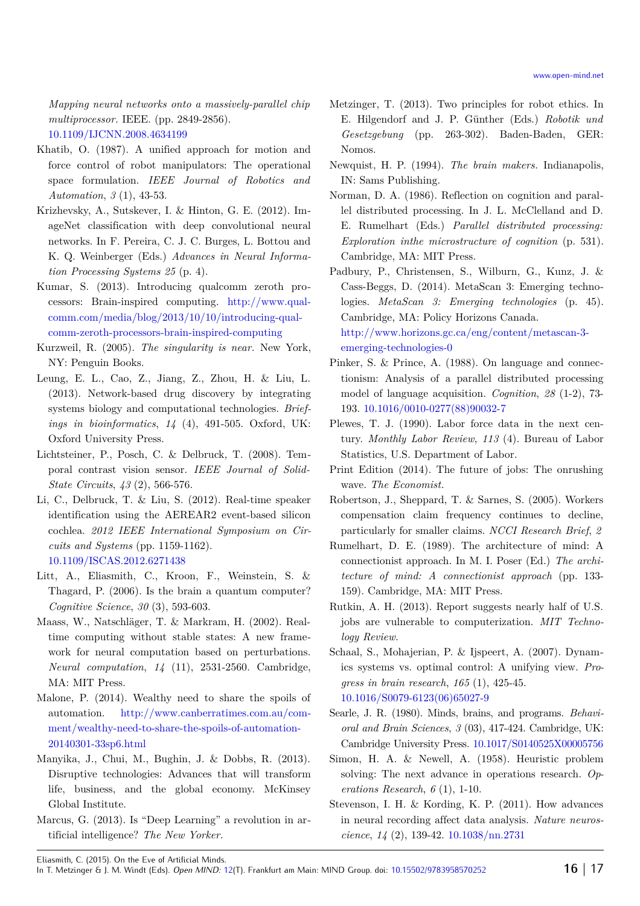*Mapping neural networks onto a massively-parallel chip multiprocessor.* IEEE. (pp. 2849-2856). [10.1109/IJCNN.2008.4634199](http://dx.doi.org/10.1109/IJCNN.2008.4634199)

- <span id="page-15-8"></span>Khatib, O. (1987). A unified approach for motion and force control of robot manipulators: The operational space formulation. *IEEE Journal of Robotics and Automation*, *3* (1), 43-53.
- <span id="page-15-6"></span>Krizhevsky, A., Sutskever, I. & Hinton, G. E. (2012). ImageNet classification with deep convolutional neural networks. In F. Pereira, C. J. C. Burges, L. Bottou and K. Q. Weinberger (Eds.) *Advances in Neural Information Processing Systems 25* (p. 4).
- <span id="page-15-3"></span>Kumar, S. (2013). Introducing qualcomm zeroth processors: Brain-inspired computing. [http://www.qual](http://dx.doi.org/http://www.qualcomm.com/media/blog/2013/10/10/introducing-qualcomm-zeroth-processors-brain-inspired-computing)[comm.com/media/blog/2013/10/10/introducing-qual](http://dx.doi.org/http://www.qualcomm.com/media/blog/2013/10/10/introducing-qualcomm-zeroth-processors-brain-inspired-computing)[comm-zeroth-processors-brain-inspired-computing](http://dx.doi.org/http://www.qualcomm.com/media/blog/2013/10/10/introducing-qualcomm-zeroth-processors-brain-inspired-computing)
- <span id="page-15-24"></span>Kurzweil, R. (2005). *The singularity is near.* New York, NY: Penguin Books.
- <span id="page-15-22"></span>Leung, E. L., Cao, Z., Jiang, Z., Zhou, H. & Liu, L. (2013). Network-based drug discovery by integrating systems biology and computational technologies. *Briefings in bioinformatics*, *14* (4), 491-505. Oxford, UK: Oxford University Press.
- <span id="page-15-5"></span>Lichtsteiner, P., Posch, C. & Delbruck, T. (2008). Temporal contrast vision sensor. *IEEE Journal of Solid-State Circuits*, *43* (2), 566-576.
- <span id="page-15-4"></span>Li, C., Delbruck, T. & Liu, S. (2012). Real-time speaker identification using the AEREAR2 event-based silicon cochlea. *2012 IEEE International Symposium on Circuits and Systems* (pp. 1159-1162). [10.1109/ISCAS.2012.6271438](http://dx.doi.org/10.1109/ISCAS.2012.6271438)
- <span id="page-15-25"></span>Litt, A., Eliasmith, C., Kroon, F., Weinstein, S. & Thagard, P. (2006). Is the brain a quantum computer? *Cognitive Science*, *30* (3), 593-603.
- <span id="page-15-7"></span>Maass, W., Natschläger, T. & Markram, H. (2002). Realtime computing without stable states: A new framework for neural computation based on perturbations. *Neural computation*, *14* (11), 2531-2560. Cambridge, MA: MIT Press.
- <span id="page-15-20"></span>Malone, P. (2014). Wealthy need to share the spoils of automation. [http://www.canberratimes.com.au/com](http://www.canberratimes.com.au/comment/wealthy-need-to-share-the-spoils-of-automation-20140301-33sp6.html)[ment/wealthy-need-to-share-the-spoils-of-automation-](http://www.canberratimes.com.au/comment/wealthy-need-to-share-the-spoils-of-automation-20140301-33sp6.html)[20140301-33sp6.html](http://www.canberratimes.com.au/comment/wealthy-need-to-share-the-spoils-of-automation-20140301-33sp6.html)
- <span id="page-15-21"></span>Manyika, J., Chui, M., Bughin, J. & Dobbs, R. (2013). Disruptive technologies: Advances that will transform life, business, and the global economy. McKinsey Global Institute.
- <span id="page-15-9"></span>Marcus, G. (2013). Is "Deep Learning" a revolution in artificial intelligence? *The New Yorker.*
- <span id="page-15-1"></span>Newquist, H. P. (1994). *The brain makers.* Indianapolis, IN: Sams Publishing.
- <span id="page-15-12"></span>Norman, D. A. (1986). Reflection on cognition and parallel distributed processing. In J. L. McClelland and D. E. Rumelhart (Eds.) *Parallel distributed processing: Exploration inthe microstructure of cognition* (p. 531). Cambridge, MA: MIT Press.
- <span id="page-15-18"></span>Padbury, P., Christensen, S., Wilburn, G., Kunz, J. & Cass-Beggs, D. (2014). MetaScan 3: Emerging technologies. *MetaScan 3: Emerging technologies* (p. 45). Cambridge, MA: Policy Horizons Canada. [http://www.horizons.gc.ca/eng/content/metascan-3](http://www.horizons.gc.ca/eng/content/metascan-3-emerging-technologies-0) [emerging-technologies-0](http://www.horizons.gc.ca/eng/content/metascan-3-emerging-technologies-0)
- <span id="page-15-10"></span>Pinker, S. & Prince, A. (1988). On language and connectionism: Analysis of a parallel distributed processing model of language acquisition. *Cognition*, *28* (1-2), 73- 193. [10.1016/0010-0277\(88\)90032-7](http://dx.doi.org/10.1016/0010-0277(88)90032-7)
- <span id="page-15-16"></span>Plewes, T. J. (1990). Labor force data in the next century. *Monthly Labor Review*, *113* (4). Bureau of Labor Statistics, U.S. Department of Labor.
- <span id="page-15-19"></span>Print Edition (2014). The future of jobs: The onrushing wave. *The Economist.*
- <span id="page-15-23"></span>Robertson, J., Sheppard, T. & Sarnes, S. (2005). Workers compensation claim frequency continues to decline, particularly for smaller claims. *NCCI Research Brief*, *2*
- <span id="page-15-11"></span>Rumelhart, D. E. (1989). The architecture of mind: A connectionist approach. In M. I. Poser (Ed.) *The architecture of mind: A connectionist approach* (pp. 133- 159). Cambridge, MA: MIT Press.
- <span id="page-15-17"></span>Rutkin, A. H. (2013). Report suggests nearly half of U.S. jobs are vulnerable to computerization. *MIT Technology Review.*
- <span id="page-15-2"></span>Schaal, S., Mohajerian, P. & Ijspeert, A. (2007). Dynamics systems vs. optimal control: A unifying view. *Progress in brain research*, *165* (1), 425-45. [10.1016/S0079-6123\(06\)65027-9](http://dx.doi.org/10.1016/S0079-6123(06)65027-9)
- <span id="page-15-14"></span>Searle, J. R. (1980). Minds, brains, and programs. *Behavioral and Brain Sciences*, *3* (03), 417-424. Cambridge, UK: Cambridge University Press. [10.1017/S0140525X00005756](http://dx.doi.org/10.1017/S0140525X00005756)
- <span id="page-15-0"></span>Simon, H. A. & Newell, A. (1958). Heuristic problem solving: The next advance in operations research. *Operations Research*, *6* (1), 1-10.
- <span id="page-15-13"></span>Stevenson, I. H. & Kording, K. P. (2011). How advances in neural recording affect data analysis. *Nature neuroscience*, *14* (2), 139-42. [10.1038/nn.2731](http://dx.doi.org/10.1038/nn.2731)

Eliasmith, C. (2015). On the Eve of Artificial Minds.

In T. Metzinger & J. M. Windt (Eds). *Open MIND:* [12\(](http://www.open-mind.net/papers/@@chapters?nr=12)T). Frankfurt am Main: MIND Group. doi: [10.15502/9783958570252](http://dx.doi.org/10.15502/9783958570252) **16** | 17

<span id="page-15-15"></span>Metzinger, T. (2013). Two principles for robot ethics. In E. Hilgendorf and J. P. Günther (Eds.) *Robotik und Gesetzgebung* (pp. 263-302). Baden-Baden, GER: Nomos.